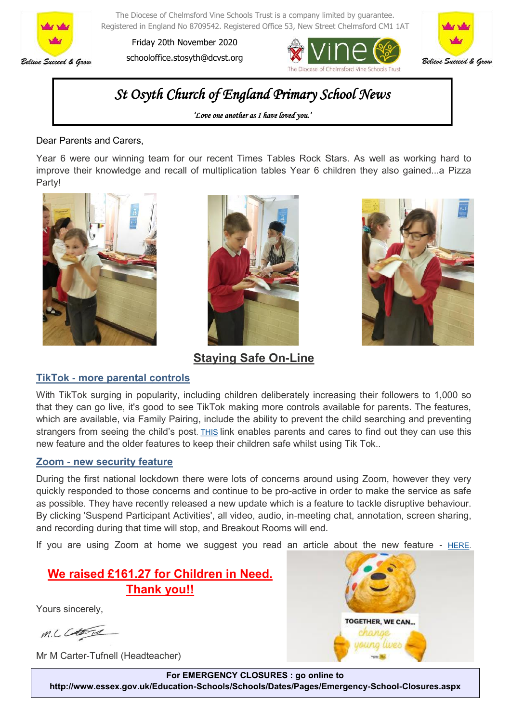

The Diocese of Chelmsford Vine Schools Trust is a company limited by guarantee. Registered in England No 8709542. Registered Office 53, New Street Chelmsford CM1 1AT

Friday 20th November 2020 schooloffice.stosyth@dcvst.org





# *St Osyth Church of England Primary School News*

*'Love one another as I have loved you.'* 

Dear Parents and Carers,

Year 6 were our winning team for our recent Times Tables Rock Stars. As well as working hard to improve their knowledge and recall of multiplication tables Year 6 children they also gained...a Pizza Party!







**Staying Safe On-Line**

#### **TikTok - more parental controls**

With TikTok surging in popularity, including children deliberately increasing their followers to 1,000 so that they can go live, it's good to see TikTok making more controls available for parents. The features, which are available, via Family Pairing, include the ability to prevent the child searching and preventing strangers from seeing the child's post. [THIS](https://gbr01.safelinks.protection.outlook.com/?url=https%3A%2F%2Fesafety-adviser.us4.list-manage.com%2Ftrack%2Fclick%3Fu%3Dcbd59b76f0e1ad9db768db345%26id%3Dc4f7e8dce2%26e%3D751636785e&data=04%7C01%7Chead.stosyth-mistley%40dcvst.org%7Ccbf6dd6e69bf4231fb3208d8) link enables parents and cares to find out they can use this new feature and the older features to keep their children safe whilst using Tik Tok..

#### **Zoom - new security feature**

During the first national lockdown there were lots of concerns around using Zoom, however they very quickly responded to those concerns and continue to be pro-active in order to make the service as safe as possible. They have recently released a new update which is a feature to tackle disruptive behaviour. By clicking 'Suspend Participant Activities', all video, audio, in-meeting chat, annotation, screen sharing, and recording during that time will stop, and Breakout Rooms will end.

If you are using Zoom at home we suggest you read an article about the new feature -  $HERE$ .

### **We raised £161.27 for Children in Need. Thank you!!**

Yours sincerely,

M.L. Catard

Mr M Carter-Tufnell (Headteacher)



**For EMERGENCY CLOSURES : go online to http://www.essex.gov.uk/Education-Schools/Schools/Dates/Pages/Emergency-School-Closures.aspx**